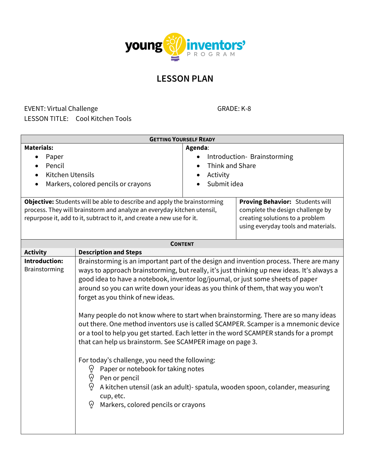

## **LESSON PLAN**

## EVENT: Virtual Challenge GRADE: K-8 LESSON TITLE: Cool Kitchen Tools

| <b>GETTING YOURSELF READY</b>                                                                                                                                                                                                                                                                                                                                                |                                                                                                                                                                                                                                                                                                                                                                                                                                                                                                                                                                                                                                                                                                                                                                                                                                                                                                                                                                                                                                            |                                                                                                                                                                                                                                       |  |  |
|------------------------------------------------------------------------------------------------------------------------------------------------------------------------------------------------------------------------------------------------------------------------------------------------------------------------------------------------------------------------------|--------------------------------------------------------------------------------------------------------------------------------------------------------------------------------------------------------------------------------------------------------------------------------------------------------------------------------------------------------------------------------------------------------------------------------------------------------------------------------------------------------------------------------------------------------------------------------------------------------------------------------------------------------------------------------------------------------------------------------------------------------------------------------------------------------------------------------------------------------------------------------------------------------------------------------------------------------------------------------------------------------------------------------------------|---------------------------------------------------------------------------------------------------------------------------------------------------------------------------------------------------------------------------------------|--|--|
| <b>Materials:</b><br>Paper<br>$\bullet$<br>Pencil<br><b>Kitchen Utensils</b><br>$\bullet$<br>Markers, colored pencils or crayons<br>$\bullet$<br>Objective: Students will be able to describe and apply the brainstorming<br>process. They will brainstorm and analyze an everyday kitchen utensil,<br>repurpose it, add to it, subtract to it, and create a new use for it. |                                                                                                                                                                                                                                                                                                                                                                                                                                                                                                                                                                                                                                                                                                                                                                                                                                                                                                                                                                                                                                            | Agenda:<br>Introduction- Brainstorming<br>Think and Share<br>Activity<br>Submit idea<br>Proving Behavior: Students will<br>complete the design challenge by<br>creating solutions to a problem<br>using everyday tools and materials. |  |  |
| <b>CONTENT</b>                                                                                                                                                                                                                                                                                                                                                               |                                                                                                                                                                                                                                                                                                                                                                                                                                                                                                                                                                                                                                                                                                                                                                                                                                                                                                                                                                                                                                            |                                                                                                                                                                                                                                       |  |  |
| <b>Activity</b>                                                                                                                                                                                                                                                                                                                                                              | <b>Description and Steps</b>                                                                                                                                                                                                                                                                                                                                                                                                                                                                                                                                                                                                                                                                                                                                                                                                                                                                                                                                                                                                               |                                                                                                                                                                                                                                       |  |  |
| <b>Introduction:</b><br>Brainstorming                                                                                                                                                                                                                                                                                                                                        | Brainstorming is an important part of the design and invention process. There are many<br>ways to approach brainstorming, but really, it's just thinking up new ideas. It's always a<br>good idea to have a notebook, inventor log/journal, or just some sheets of paper<br>around so you can write down your ideas as you think of them, that way you won't<br>forget as you think of new ideas.<br>Many people do not know where to start when brainstorming. There are so many ideas<br>out there. One method inventors use is called SCAMPER. Scamper is a mnemonic device<br>or a tool to help you get started. Each letter in the word SCAMPER stands for a prompt<br>that can help us brainstorm. See SCAMPER image on page 3.<br>For today's challenge, you need the following:<br>Paper or notebook for taking notes<br>⊕انۍ<br>⊙<br>Pen or pencil<br>$\tilde{\Theta}$<br>A kitchen utensil (ask an adult)- spatula, wooden spoon, colander, measuring<br>cup, etc.<br>$\overline{\Theta}$<br>Markers, colored pencils or crayons |                                                                                                                                                                                                                                       |  |  |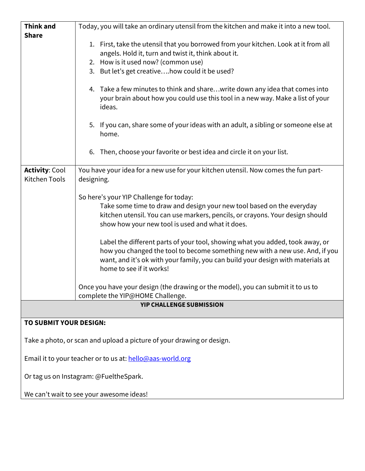| <b>Think and</b><br><b>Share</b>                          | Today, you will take an ordinary utensil from the kitchen and make it into a new tool.                                                                                                                                                                                       |  |  |
|-----------------------------------------------------------|------------------------------------------------------------------------------------------------------------------------------------------------------------------------------------------------------------------------------------------------------------------------------|--|--|
|                                                           | 1. First, take the utensil that you borrowed from your kitchen. Look at it from all<br>angels. Hold it, turn and twist it, think about it.<br>2. How is it used now? (common use)                                                                                            |  |  |
|                                                           | But let's get creativehow could it be used?<br>3.                                                                                                                                                                                                                            |  |  |
|                                                           | Take a few minutes to think and sharewrite down any idea that comes into<br>4.<br>your brain about how you could use this tool in a new way. Make a list of your<br>ideas.                                                                                                   |  |  |
|                                                           | If you can, share some of your ideas with an adult, a sibling or someone else at<br>5.<br>home.                                                                                                                                                                              |  |  |
|                                                           | Then, choose your favorite or best idea and circle it on your list.<br>6.                                                                                                                                                                                                    |  |  |
| Activity: Cool<br>Kitchen Tools                           | You have your idea for a new use for your kitchen utensil. Now comes the fun part-<br>designing.                                                                                                                                                                             |  |  |
|                                                           | So here's your YIP Challenge for today:                                                                                                                                                                                                                                      |  |  |
|                                                           | Take some time to draw and design your new tool based on the everyday<br>kitchen utensil. You can use markers, pencils, or crayons. Your design should<br>show how your new tool is used and what it does.                                                                   |  |  |
|                                                           | Label the different parts of your tool, showing what you added, took away, or<br>how you changed the tool to become something new with a new use. And, if you<br>want, and it's ok with your family, you can build your design with materials at<br>home to see if it works! |  |  |
|                                                           | Once you have your design (the drawing or the model), you can submit it to us to<br>complete the YIP@HOME Challenge.                                                                                                                                                         |  |  |
| <b>YIP CHALLENGE SUBMISSION</b>                           |                                                                                                                                                                                                                                                                              |  |  |
| TO SUBMIT YOUR DESIGN:                                    |                                                                                                                                                                                                                                                                              |  |  |
|                                                           | Take a photo, or scan and upload a picture of your drawing or design.                                                                                                                                                                                                        |  |  |
| Email it to your teacher or to us at: hello@aas-world.org |                                                                                                                                                                                                                                                                              |  |  |
| Or tag us on Instagram: @FueltheSpark.                    |                                                                                                                                                                                                                                                                              |  |  |
|                                                           | We can't wait to see your awesome ideas!                                                                                                                                                                                                                                     |  |  |